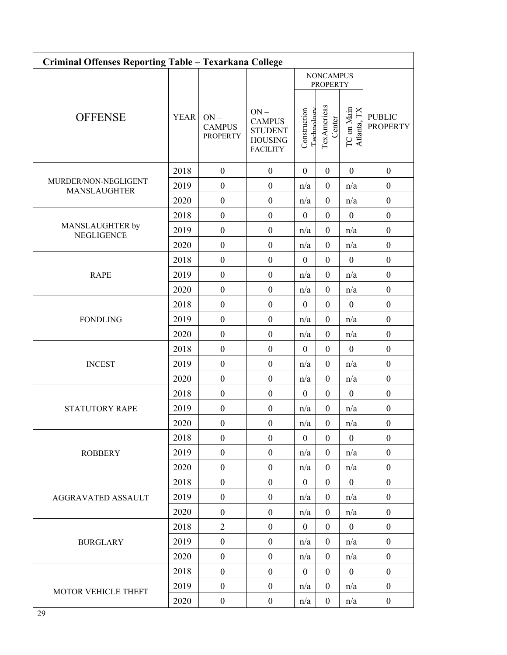| Criminal Offenses Reporting Table - Texarkana College |             |                                            |                                                             |                                     |                       |                           |                                  |  |  |  |
|-------------------------------------------------------|-------------|--------------------------------------------|-------------------------------------------------------------|-------------------------------------|-----------------------|---------------------------|----------------------------------|--|--|--|
|                                                       |             |                                            |                                                             | <b>NONCAMPUS</b><br><b>PROPERTY</b> |                       |                           |                                  |  |  |  |
| <b>OFFENSE</b>                                        | <b>YEAR</b> | $ON -$<br><b>CAMPUS</b><br><b>PROPERTY</b> | $ON -$<br><b>CAMPUS</b><br><b>STUDENT</b><br><b>HOUSING</b> | Construction<br>Technology          | TexAmericas<br>Center | TC on Main<br>Atlanta, TX | <b>PUBLIC</b><br><b>PROPERTY</b> |  |  |  |
|                                                       |             |                                            | <b>FACILITY</b>                                             |                                     |                       |                           |                                  |  |  |  |
| MURDER/NON-NEGLIGENT<br><b>MANSLAUGHTER</b>           | 2018        | $\boldsymbol{0}$                           | $\boldsymbol{0}$                                            | $\mathbf{0}$                        | $\boldsymbol{0}$      | $\boldsymbol{0}$          | $\boldsymbol{0}$                 |  |  |  |
|                                                       | 2019        | $\boldsymbol{0}$                           | $\boldsymbol{0}$                                            | n/a                                 | $\boldsymbol{0}$      | n/a                       | $\boldsymbol{0}$                 |  |  |  |
|                                                       | 2020        | $\boldsymbol{0}$                           | $\boldsymbol{0}$                                            | n/a                                 | $\boldsymbol{0}$      | n/a                       | $\boldsymbol{0}$                 |  |  |  |
| MANSLAUGHTER by<br><b>NEGLIGENCE</b>                  | 2018        | $\boldsymbol{0}$                           | $\boldsymbol{0}$                                            | $\boldsymbol{0}$                    | $\boldsymbol{0}$      | $\boldsymbol{0}$          | $\boldsymbol{0}$                 |  |  |  |
|                                                       | 2019        | $\boldsymbol{0}$                           | $\boldsymbol{0}$                                            | n/a                                 | $\boldsymbol{0}$      | n/a                       | $\boldsymbol{0}$                 |  |  |  |
|                                                       | 2020        | $\boldsymbol{0}$                           | $\boldsymbol{0}$                                            | n/a                                 | $\boldsymbol{0}$      | n/a                       | $\boldsymbol{0}$                 |  |  |  |
| <b>RAPE</b>                                           | 2018        | $\boldsymbol{0}$                           | $\boldsymbol{0}$                                            | $\boldsymbol{0}$                    | $\boldsymbol{0}$      | $\boldsymbol{0}$          | $\boldsymbol{0}$                 |  |  |  |
|                                                       | 2019        | $\boldsymbol{0}$                           | $\boldsymbol{0}$                                            | n/a                                 | $\boldsymbol{0}$      | n/a                       | $\boldsymbol{0}$                 |  |  |  |
|                                                       | 2020        | $\mathbf{0}$                               | $\boldsymbol{0}$                                            | n/a                                 | $\boldsymbol{0}$      | n/a                       | $\boldsymbol{0}$                 |  |  |  |
| <b>FONDLING</b>                                       | 2018        | $\boldsymbol{0}$                           | $\boldsymbol{0}$                                            | $\mathbf{0}$                        | $\boldsymbol{0}$      | $\mathbf{0}$              | $\boldsymbol{0}$                 |  |  |  |
|                                                       | 2019        | $\boldsymbol{0}$                           | $\boldsymbol{0}$                                            | n/a                                 | $\boldsymbol{0}$      | n/a                       | $\boldsymbol{0}$                 |  |  |  |
|                                                       | 2020        | $\boldsymbol{0}$                           | $\boldsymbol{0}$                                            | n/a                                 | $\boldsymbol{0}$      | n/a                       | $\boldsymbol{0}$                 |  |  |  |
|                                                       | 2018        | $\boldsymbol{0}$                           | $\boldsymbol{0}$                                            | $\boldsymbol{0}$                    | $\boldsymbol{0}$      | $\boldsymbol{0}$          | $\boldsymbol{0}$                 |  |  |  |
| <b>INCEST</b>                                         | 2019        | $\boldsymbol{0}$                           | $\boldsymbol{0}$                                            | n/a                                 | $\boldsymbol{0}$      | n/a                       | $\boldsymbol{0}$                 |  |  |  |
|                                                       | 2020        | $\boldsymbol{0}$                           | $\boldsymbol{0}$                                            | n/a                                 | $\boldsymbol{0}$      | n/a                       | $\boldsymbol{0}$                 |  |  |  |
|                                                       | 2018        | $\boldsymbol{0}$                           | $\boldsymbol{0}$                                            | $\boldsymbol{0}$                    | $\boldsymbol{0}$      | $\boldsymbol{0}$          | $\boldsymbol{0}$                 |  |  |  |
| STATUTORY RAPE                                        | 2019        | $\boldsymbol{0}$                           | $\boldsymbol{0}$                                            | n/a                                 | $\boldsymbol{0}$      | n/a                       | $\boldsymbol{0}$                 |  |  |  |
|                                                       | 2020        | $\boldsymbol{0}$                           | $\boldsymbol{0}$                                            | n/a                                 | $\boldsymbol{0}$      | n/a                       | $\boldsymbol{0}$                 |  |  |  |
| <b>ROBBERY</b>                                        | 2018        | $\boldsymbol{0}$                           | $\mathbf{0}$                                                | $\overline{0}$                      | $\overline{0}$        | $\mathbf{0}$              | $\boldsymbol{0}$                 |  |  |  |
|                                                       | 2019        | $\boldsymbol{0}$                           | $\mathbf{0}$                                                | n/a                                 | $\boldsymbol{0}$      | n/a                       | $\boldsymbol{0}$                 |  |  |  |
|                                                       | 2020        | $\boldsymbol{0}$                           | $\boldsymbol{0}$                                            | n/a                                 | $\boldsymbol{0}$      | n/a                       | $\boldsymbol{0}$                 |  |  |  |
| AGGRAVATED ASSAULT                                    | 2018        | $\boldsymbol{0}$                           | $\boldsymbol{0}$                                            | $\boldsymbol{0}$                    | $\overline{0}$        | $\mathbf{0}$              | $\boldsymbol{0}$                 |  |  |  |
|                                                       | 2019        | $\boldsymbol{0}$                           | $\boldsymbol{0}$                                            | n/a                                 | $\boldsymbol{0}$      | n/a                       | $\boldsymbol{0}$                 |  |  |  |
|                                                       | 2020        | $\boldsymbol{0}$                           | $\boldsymbol{0}$                                            | n/a                                 | $\boldsymbol{0}$      | n/a                       | $\boldsymbol{0}$                 |  |  |  |
| <b>BURGLARY</b>                                       | 2018        | $\overline{2}$                             | $\boldsymbol{0}$                                            | $\boldsymbol{0}$                    | $\boldsymbol{0}$      | $\mathbf{0}$              | $\boldsymbol{0}$                 |  |  |  |
|                                                       | 2019        | $\boldsymbol{0}$                           | $\boldsymbol{0}$                                            | n/a                                 | $\boldsymbol{0}$      | n/a                       | $\boldsymbol{0}$                 |  |  |  |
|                                                       | 2020        | $\boldsymbol{0}$                           | $\boldsymbol{0}$                                            | n/a                                 | $\boldsymbol{0}$      | n/a                       | $\boldsymbol{0}$                 |  |  |  |
| MOTOR VEHICLE THEFT                                   | 2018        | $\boldsymbol{0}$                           | $\boldsymbol{0}$                                            | $\boldsymbol{0}$                    | $\overline{0}$        | $\mathbf{0}$              | $\boldsymbol{0}$                 |  |  |  |
|                                                       | 2019        | $\boldsymbol{0}$                           | $\boldsymbol{0}$                                            | n/a                                 | $\boldsymbol{0}$      | n/a                       | $\boldsymbol{0}$                 |  |  |  |
|                                                       | 2020        | $\boldsymbol{0}$                           | $\boldsymbol{0}$                                            | n/a                                 | $\boldsymbol{0}$      | n/a                       | $\boldsymbol{0}$                 |  |  |  |